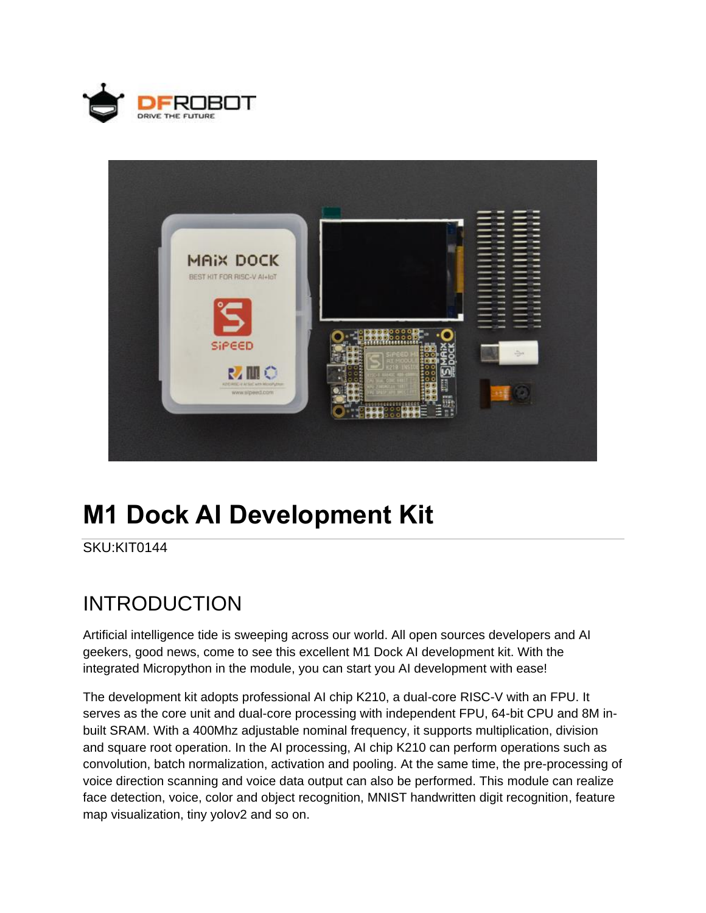



# **M1 Dock AI Development Kit**

SKU:KIT0144

## INTRODUCTION

Artificial intelligence tide is sweeping across our world. All open sources developers and AI geekers, good news, come to see this excellent M1 Dock AI development kit. With the integrated Micropython in the module, you can start you AI development with ease!

The development kit adopts professional AI chip K210, a dual-core RISC-V with an FPU. It serves as the core unit and dual-core processing with independent FPU, 64-bit CPU and 8M inbuilt SRAM. With a 400Mhz adjustable nominal frequency, it supports multiplication, division and square root operation. In the AI processing, AI chip K210 can perform operations such as convolution, batch normalization, activation and pooling. At the same time, the pre-processing of voice direction scanning and voice data output can also be performed. This [module](https://www.dfrobot.com/category-156.html) can realize face detection, voice, color and object recognition, MNIST handwritten digit recognition, feature map visualization, tiny yolov2 and so on.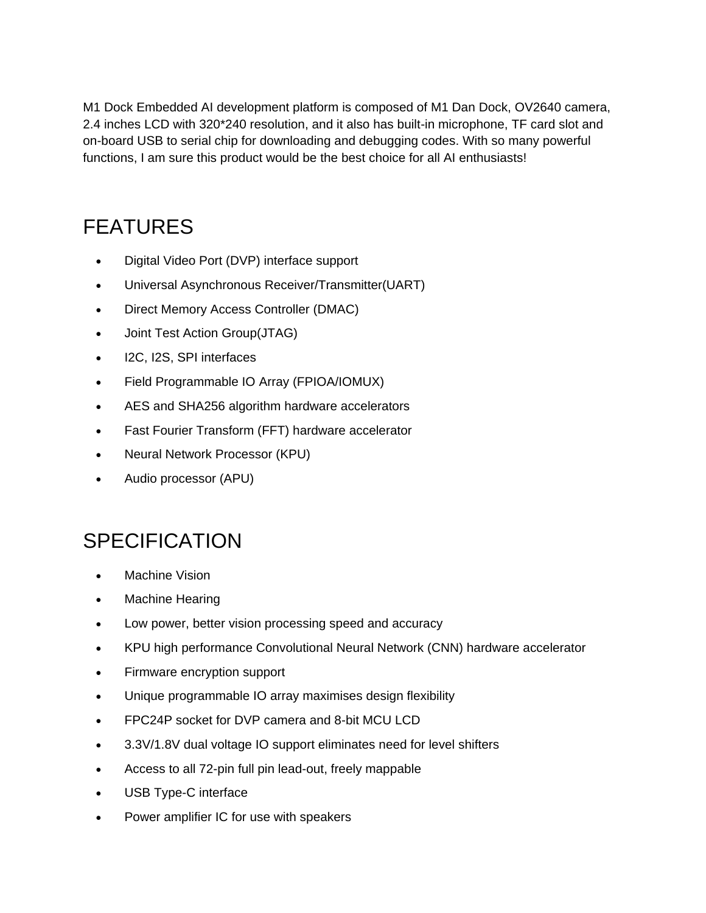M1 Dock Embedded AI development platform is composed of M1 Dan Dock, OV2640 camera, 2.4 inches LCD with 320\*240 resolution, and it also has built-in microphone, [TF card](https://www.dfrobot.com/product-1190.html) slot and on-board USB to serial chip for downloading and debugging codes. With so many powerful functions, I am sure this product would be the best choice for all AI enthusiasts!

## FEATURES

- Digital Video Port (DVP) interface support
- Universal Asynchronous Receiver/Transmitter(UART)
- Direct Memory Access Controller (DMAC)
- Joint Test Action Group(JTAG)
- I2C, I2S, SPI interfaces
- Field Programmable IO Array (FPIOA/IOMUX)
- AES and SHA256 algorithm hardware accelerators
- Fast Fourier Transform (FFT) hardware accelerator
- Neural Network Processor (KPU)
- Audio processor (APU)

## **SPECIFICATION**

- Machine Vision
- Machine Hearing
- Low power, better vision processing speed and accuracy
- KPU high performance Convolutional Neural Network (CNN) hardware accelerator
- Firmware encryption support
- Unique programmable IO array maximises design flexibility
- FPC24P socket for DVP camera and 8-bit MCU LCD
- 3.3V/1.8V dual voltage IO support eliminates need for level shifters
- Access to all 72-pin full pin lead-out, freely mappable
- USB Type-C interface
- Power amplifier IC for use with speakers